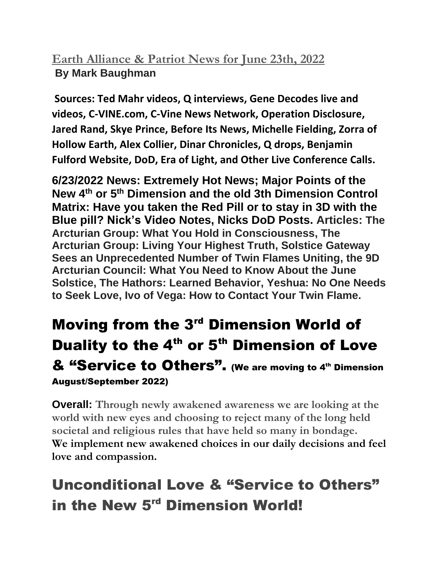## **Earth Alliance & Patriot News for June 23th, 2022 By Mark Baughman**

**Sources: Ted Mahr videos, Q interviews, Gene Decodes live and videos, C-VINE.com, C-Vine News Network, Operation Disclosure, Jared Rand, Skye Prince, Before Its News, Michelle Fielding, Zorra of Hollow Earth, Alex Collier, Dinar Chronicles, Q drops, Benjamin Fulford Website, DoD, Era of Light, and Other Live Conference Calls.**

**6/23/2022 News: Extremely Hot News; Major Points of the New 4th or 5th Dimension and the old 3th Dimension Control Matrix: Have you taken the Red Pill or to stay in 3D with the Blue pill? Nick's Video Notes, Nicks DoD Posts. Articles: The Arcturian Group: What You Hold in Consciousness, The Arcturian Group: Living Your Highest Truth, Solstice Gateway Sees an Unprecedented Number of Twin Flames Uniting, the 9D Arcturian Council: What You Need to Know About the June Solstice, The Hathors: Learned Behavior, Yeshua: No One Needs to Seek Love, Ivo of Vega: How to Contact Your Twin Flame.**

## **Moving from the 3<sup>rd</sup> Dimension World of** Duality to the  $4<sup>th</sup>$  or  $5<sup>th</sup>$  Dimension of Love & "Service to Others". (We are moving to 4<sup>th</sup> Dimension August/September 2022)

**Overall: Through newly awakened awareness we are looking at the world with new eyes and choosing to reject many of the long held societal and religious rules that have held so many in bondage. We implement new awakened choices in our daily decisions and feel love and compassion.**

# Unconditional Love & "Service to Others" in the New 5<sup>rd</sup> Dimension World!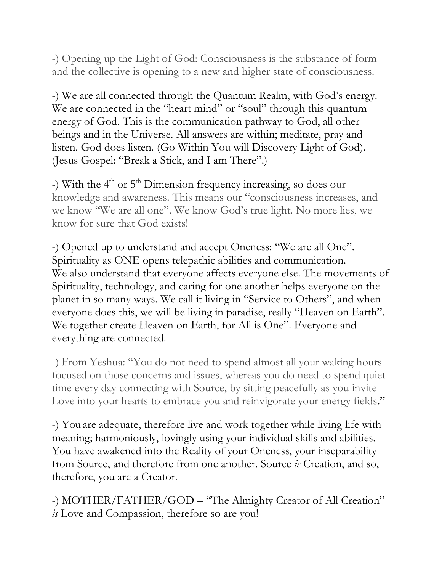-) Opening up the Light of God: Consciousness is the substance of form and the collective is opening to a new and higher state of consciousness.

-) We are all connected through the Quantum Realm, with God's energy. We are connected in the "heart mind" or "soul" through this quantum energy of God. This is the communication pathway to God, all other beings and in the Universe. All answers are within; meditate, pray and listen. God does listen. (Go Within You will Discovery Light of God). (Jesus Gospel: "Break a Stick, and I am There".)

-) With the 4<sup>th</sup> or 5<sup>th</sup> Dimension frequency increasing, so does our knowledge and awareness. This means our "consciousness increases, and we know "We are all one". We know God's true light. No more lies, we know for sure that God exists!

-) Opened up to understand and accept Oneness: "We are all One". Spirituality as ONE opens telepathic abilities and communication. We also understand that everyone affects everyone else. The movements of Spirituality, technology, and caring for one another helps everyone on the planet in so many ways. We call it living in "Service to Others", and when everyone does this, we will be living in paradise, really "Heaven on Earth". We together create Heaven on Earth, for All is One". Everyone and everything are connected.

-) From Yeshua: "You do not need to spend almost all your waking hours focused on those concerns and issues, whereas you do need to spend quiet time every day connecting with Source, by sitting peacefully as you invite Love into your hearts to embrace you and reinvigorate your energy fields."

-) You are adequate, therefore live and work together while living life with meaning; harmoniously, lovingly using your individual skills and abilities. You have awakened into the Reality of your Oneness, your inseparability from Source, and therefore from one another. Source *is* Creation, and so, therefore, you are a Creator.

-) MOTHER/FATHER/GOD – "The Almighty Creator of All Creation" *is* Love and Compassion, therefore so are you!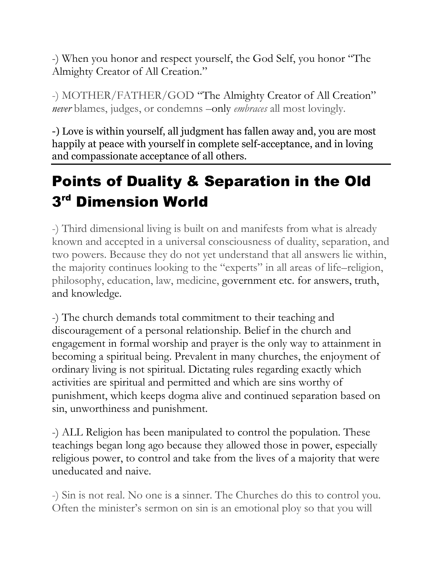-) When you honor and respect yourself, the God Self, you honor "The Almighty Creator of All Creation."

-) MOTHER/FATHER/GOD "The Almighty Creator of All Creation" *never* blames, judges, or condemns –only *embraces* all most lovingly.

-) Love is within yourself, all judgment has fallen away and, you are most happily at peace with yourself in complete self-acceptance, and in loving and compassionate acceptance of all others.

# Points of Duality & Separation in the Old  $3<sup>rd</sup>$  Dimension World

-) Third dimensional living is built on and manifests from what is already known and accepted in a universal consciousness of duality, separation, and two powers. Because they do not yet understand that all answers lie within, the majority continues looking to the "experts" in all areas of life–religion, philosophy, education, law, medicine, government etc. for answers, truth, and knowledge.

-) The church demands total commitment to their teaching and discouragement of a personal relationship. Belief in the church and engagement in formal worship and prayer is the only way to attainment in becoming a spiritual being. Prevalent in many churches, the enjoyment of ordinary living is not spiritual. Dictating rules regarding exactly which activities are spiritual and permitted and which are sins worthy of punishment, which keeps dogma alive and continued separation based on sin, unworthiness and punishment.

-) ALL Religion has been manipulated to control the population. These teachings began long ago because they allowed those in power, especially religious power, to control and take from the lives of a majority that were uneducated and naive.

-) Sin is not real. No one is a sinner. The Churches do this to control you. Often the minister's sermon on sin is an emotional ploy so that you will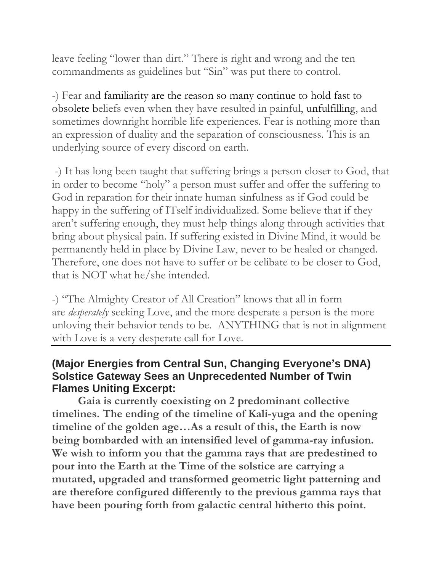leave feeling "lower than dirt." There is right and wrong and the ten commandments as guidelines but "Sin" was put there to control.

-) Fear and familiarity are the reason so many continue to hold fast to obsolete beliefs even when they have resulted in painful, unfulfilling, and sometimes downright horrible life experiences. Fear is nothing more than an expression of duality and the separation of consciousness. This is an underlying source of every discord on earth.

-) It has long been taught that suffering brings a person closer to God, that in order to become "holy" a person must suffer and offer the suffering to God in reparation for their innate human sinfulness as if God could be happy in the suffering of ITself individualized. Some believe that if they aren't suffering enough, they must help things along through activities that bring about physical pain. If suffering existed in Divine Mind, it would be permanently held in place by Divine Law, never to be healed or changed. Therefore, one does not have to suffer or be celibate to be closer to God, that is NOT what he/she intended.

-) "The Almighty Creator of All Creation" knows that all in form are *desperately* seeking Love, and the more desperate a person is the more unloving their behavior tends to be. ANYTHING that is not in alignment with Love is a very desperate call for Love.

#### **(Major Energies from Central Sun, Changing Everyone's DNA) Solstice Gateway Sees an Unprecedented Number of Twin Flames Uniting Excerpt:**

**Gaia is currently coexisting on 2 predominant collective timelines. The ending of the timeline of Kali-yuga and the opening timeline of the golden age…As a result of this, the Earth is now being bombarded with an intensified level of gamma-ray infusion. We wish to inform you that the gamma rays that are predestined to pour into the Earth at the Time of the solstice are carrying a mutated, upgraded and transformed geometric light patterning and are therefore configured differently to the previous gamma rays that have been pouring forth from galactic central hitherto this point.**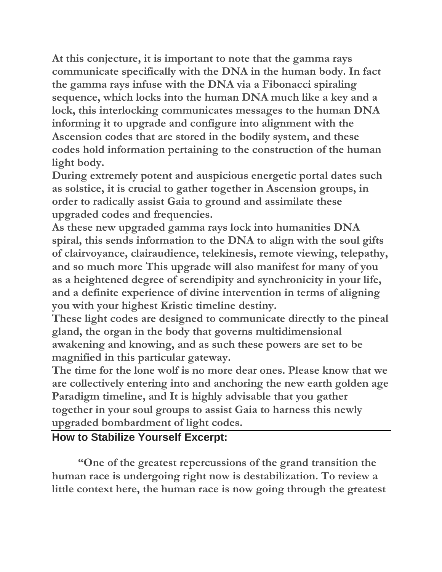**At this conjecture, it is important to note that the gamma rays communicate specifically with the DNA in the human body. In fact the gamma rays infuse with the DNA via a Fibonacci spiraling sequence, which locks into the human DNA much like a key and a lock, this interlocking communicates messages to the human DNA informing it to upgrade and configure into alignment with the Ascension codes that are stored in the bodily system, and these codes hold information pertaining to the construction of the human light body.**

**During extremely potent and auspicious energetic portal dates such as solstice, it is crucial to gather together in Ascension groups, in order to radically assist Gaia to ground and assimilate these upgraded codes and frequencies.**

**As these new upgraded gamma rays lock into humanities DNA spiral, this sends information to the DNA to align with the soul gifts of clairvoyance, clairaudience, telekinesis, remote viewing, telepathy, and so much more This upgrade will also manifest for many of you as a heightened degree of serendipity and synchronicity in your life, and a definite experience of divine intervention in terms of aligning you with your highest Kristic timeline destiny.**

**These light codes are designed to communicate directly to the pineal gland, the organ in the body that governs multidimensional awakening and knowing, and as such these powers are set to be magnified in this particular gateway.**

**The time for the lone wolf is no more dear ones. Please know that we are collectively entering into and anchoring the new earth golden age Paradigm timeline, and It is highly advisable that you gather together in your soul groups to assist Gaia to harness this newly upgraded bombardment of light codes.**

#### **How to Stabilize Yourself Excerpt:**

**"One of the greatest repercussions of the grand transition the human race is undergoing right now is destabilization. To review a little context here, the human race is now going through the greatest**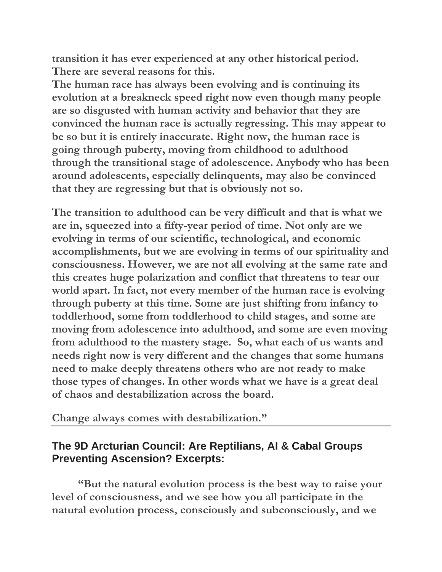**transition it has ever experienced at any other historical period. There are several reasons for this.**

**The human race has always been evolving and is continuing its evolution at a breakneck speed right now even though many people are so disgusted with human activity and behavior that they are convinced the human race is actually regressing. This may appear to be so but it is entirely inaccurate. Right now, the human race is going through puberty, moving from childhood to adulthood through the transitional stage of adolescence. Anybody who has been around adolescents, especially delinquents, may also be convinced that they are regressing but that is obviously not so.**

**The transition to adulthood can be very difficult and that is what we are in, squeezed into a fifty-year period of time. Not only are we evolving in terms of our scientific, technological, and economic accomplishments, but we are evolving in terms of our spirituality and consciousness. However, we are not all evolving at the same rate and this creates huge polarization and conflict that threatens to tear our world apart. In fact, not every member of the human race is evolving through puberty at this time. Some are just shifting from infancy to toddlerhood, some from toddlerhood to child stages, and some are moving from adolescence into adulthood, and some are even moving from adulthood to the mastery stage. So, what each of us wants and needs right now is very different and the changes that some humans need to make deeply threatens others who are not ready to make those types of changes. In other words what we have is a great deal of chaos and destabilization across the board.**

**Change always comes with destabilization."**

#### **The 9D Arcturian Council: Are Reptilians, AI & Cabal Groups Preventing Ascension? Excerpts:**

**"But the natural evolution process is the best way to raise your level of consciousness, and we see how you all participate in the natural evolution process, consciously and subconsciously, and we**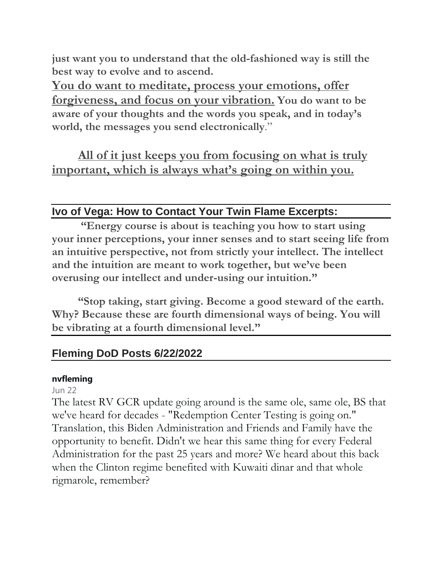**just want you to understand that the old-fashioned way is still the best way to evolve and to ascend.**

**You do want to meditate, process your emotions, offer forgiveness, and focus on your vibration. You do want to be aware of your thoughts and the words you speak, and in today's world, the messages you send electronically**."

**All of it just keeps you from focusing on what is truly important, which is always what's going on within you.**

#### **Ivo of Vega: How to Contact Your Twin Flame Excerpts:**

**"Energy course is about is teaching you how to start using your inner perceptions, your inner senses and to start seeing life from an intuitive perspective, not from strictly your intellect. The intellect and the intuition are meant to work together, but we've been overusing our intellect and under-using our intuition."**

**"Stop taking, start giving. Become a good steward of the earth. Why? Because these are fourth dimensional ways of being. You will be vibrating at a fourth dimensional level."**

#### **Fleming DoD Posts 6/22/2022**

#### **nvfleming**

Jun 22

The latest RV GCR update going around is the same ole, same ole, BS that we've heard for decades - "Redemption Center Testing is going on." Translation, this Biden Administration and Friends and Family have the opportunity to benefit. Didn't we hear this same thing for every Federal Administration for the past 25 years and more? We heard about this back when the Clinton regime benefited with Kuwaiti dinar and that whole rigmarole, remember?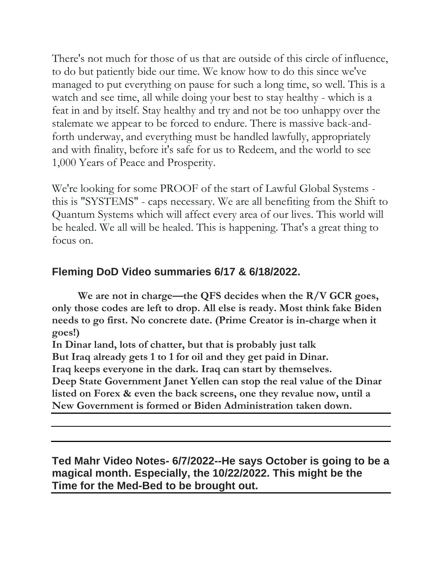There's not much for those of us that are outside of this circle of influence, to do but patiently bide our time. We know how to do this since we've managed to put everything on pause for such a long time, so well. This is a watch and see time, all while doing your best to stay healthy - which is a feat in and by itself. Stay healthy and try and not be too unhappy over the stalemate we appear to be forced to endure. There is massive back-andforth underway, and everything must be handled lawfully, appropriately and with finality, before it's safe for us to Redeem, and the world to see 1,000 Years of Peace and Prosperity.

We're looking for some PROOF of the start of Lawful Global Systems this is "SYSTEMS" - caps necessary. We are all benefiting from the Shift to Quantum Systems which will affect every area of our lives. This world will be healed. We all will be healed. This is happening. That's a great thing to focus on.

### **Fleming DoD Video summaries 6/17 & 6/18/2022.**

**We are not in charge—the QFS decides when the R/V GCR goes, only those codes are left to drop. All else is ready. Most think fake Biden needs to go first. No concrete date. (Prime Creator is in-charge when it goes!)** 

**In Dinar land, lots of chatter, but that is probably just talk**

**But Iraq already gets 1 to 1 for oil and they get paid in Dinar.** 

**Iraq keeps everyone in the dark. Iraq can start by themselves.** 

**Deep State Government Janet Yellen can stop the real value of the Dinar listed on Forex & even the back screens, one they revalue now, until a New Government is formed or Biden Administration taken down.**

**Ted Mahr Video Notes- 6/7/2022--He says October is going to be a magical month. Especially, the 10/22/2022. This might be the Time for the Med-Bed to be brought out.**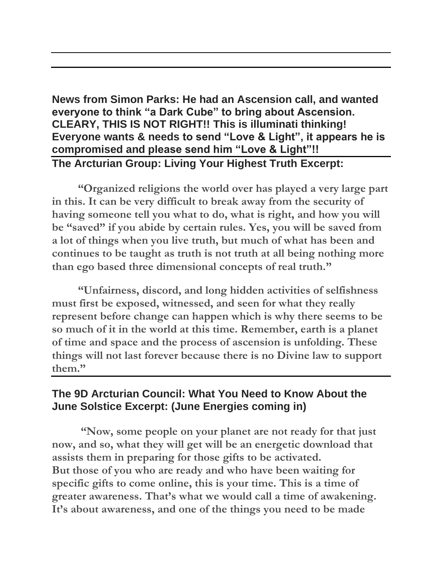#### **News from Simon Parks: He had an Ascension call, and wanted everyone to think "a Dark Cube" to bring about Ascension. CLEARY, THIS IS NOT RIGHT!! This is illuminati thinking! Everyone wants & needs to send "Love & Light", it appears he is compromised and please send him "Love & Light"!! The Arcturian Group: Living Your Highest Truth Excerpt:**

 **"Organized religions the world over has played a very large part in this. It can be very difficult to break away from the security of having someone tell you what to do, what is right, and how you will be "saved" if you abide by certain rules. Yes, you will be saved from a lot of things when you live truth, but much of what has been and continues to be taught as truth is not truth at all being nothing more than ego based three dimensional concepts of real truth."**

**"Unfairness, discord, and long hidden activities of selfishness must first be exposed, witnessed, and seen for what they really represent before change can happen which is why there seems to be so much of it in the world at this time. Remember, earth is a planet of time and space and the process of ascension is unfolding. These things will not last forever because there is no Divine law to support them."**

#### **The 9D Arcturian Council: What You Need to Know About the June Solstice Excerpt: (June Energies coming in)**

**"Now, some people on your planet are not ready for that just now, and so, what they will get will be an energetic download that assists them in preparing for those gifts to be activated. But those of you who are ready and who have been waiting for specific gifts to come online, this is your time. This is a time of greater awareness. That's what we would call a time of awakening. It's about awareness, and one of the things you need to be made**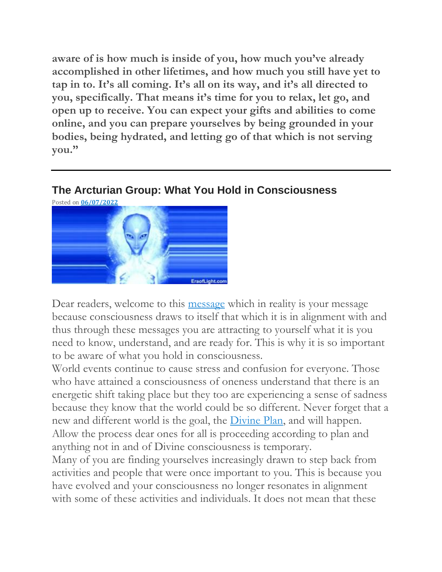**aware of is how much is inside of you, how much you've already accomplished in other lifetimes, and how much you still have yet to tap in to. It's all coming. It's all on its way, and it's all directed to you, specifically. That means it's time for you to relax, let go, and open up to receive. You can expect your gifts and abilities to come online, and you can prepare yourselves by being grounded in your bodies, being hydrated, and letting go of that which is not serving you."**

#### **The Arcturian Group: What You Hold in Consciousness**



Dear readers, welcome to this [message](http://eraoflight.com/) which in reality is your message because consciousness draws to itself that which it is in alignment with and thus through these messages you are attracting to yourself what it is you need to know, understand, and are ready for. This is why it is so important to be aware of what you hold in consciousness.

World events continue to cause stress and confusion for everyone. Those who have attained a consciousness of oneness understand that there is an energetic shift taking place but they too are experiencing a sense of sadness because they know that the world could be so different. Never forget that a new and different world is the goal, the [Divine](http://eraoflight.com/) Plan, and will happen. Allow the process dear ones for all is proceeding according to plan and anything not in and of Divine consciousness is temporary.

Many of you are finding yourselves increasingly drawn to step back from activities and people that were once important to you. This is because you have evolved and your consciousness no longer resonates in alignment with some of these activities and individuals. It does not mean that these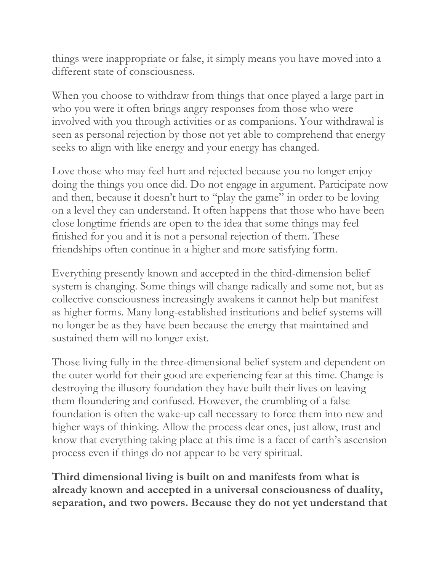things were inappropriate or false, it simply means you have moved into a different state of consciousness.

When you choose to withdraw from things that once played a large part in who you were it often brings angry responses from those who were involved with you through activities or as companions. Your withdrawal is seen as personal rejection by those not yet able to comprehend that energy seeks to align with like energy and your energy has changed.

Love those who may feel hurt and rejected because you no longer enjoy doing the things you once did. Do not engage in argument. Participate now and then, because it doesn't hurt to "play the game" in order to be loving on a level they can understand. It often happens that those who have been close longtime friends are open to the idea that some things may feel finished for you and it is not a personal rejection of them. These friendships often continue in a higher and more satisfying form.

Everything presently known and accepted in the third-dimension belief system is changing. Some things will change radically and some not, but as collective consciousness increasingly awakens it cannot help but manifest as higher forms. Many long-established institutions and belief systems will no longer be as they have been because the energy that maintained and sustained them will no longer exist.

Those living fully in the three-dimensional belief system and dependent on the outer world for their good are experiencing fear at this time. Change is destroying the illusory foundation they have built their lives on leaving them floundering and confused. However, the crumbling of a false foundation is often the wake-up call necessary to force them into new and higher ways of thinking. Allow the process dear ones, just allow, trust and know that everything taking place at this time is a facet of earth's ascension process even if things do not appear to be very spiritual.

**Third dimensional living is built on and manifests from what is already known and accepted in a universal consciousness of duality, separation, and two powers. Because they do not yet understand that**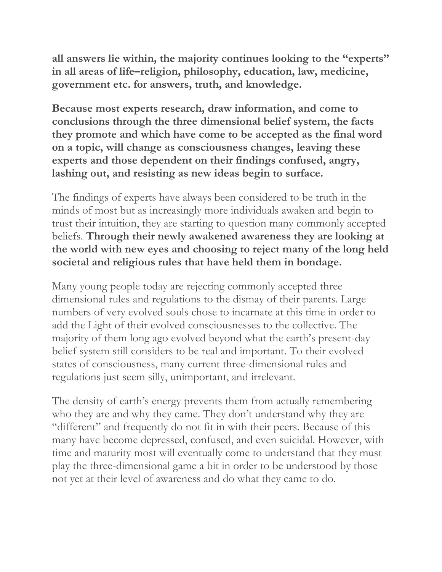**all answers lie within, the majority continues looking to the "experts" in all areas of life–religion, philosophy, education, law, medicine, government etc. for answers, truth, and knowledge.**

**Because most experts research, draw information, and come to conclusions through the three dimensional belief system, the facts they promote and which have come to be accepted as the final word on a topic, will change as consciousness changes, leaving these experts and those dependent on their findings confused, angry, lashing out, and resisting as new ideas begin to surface.**

The findings of experts have always been considered to be truth in the minds of most but as increasingly more individuals awaken and begin to trust their intuition, they are starting to question many commonly accepted beliefs. **Through their newly awakened awareness they are looking at the world with new eyes and choosing to reject many of the long held societal and religious rules that have held them in bondage.**

Many young people today are rejecting commonly accepted three dimensional rules and regulations to the dismay of their parents. Large numbers of very evolved souls chose to incarnate at this time in order to add the Light of their evolved consciousnesses to the collective. The majority of them long ago evolved beyond what the earth's present-day belief system still considers to be real and important. To their evolved states of consciousness, many current three-dimensional rules and regulations just seem silly, unimportant, and irrelevant.

The density of earth's energy prevents them from actually remembering who they are and why they came. They don't understand why they are "different" and frequently do not fit in with their peers. Because of this many have become depressed, confused, and even suicidal. However, with time and maturity most will eventually come to understand that they must play the three-dimensional game a bit in order to be understood by those not yet at their level of awareness and do what they came to do.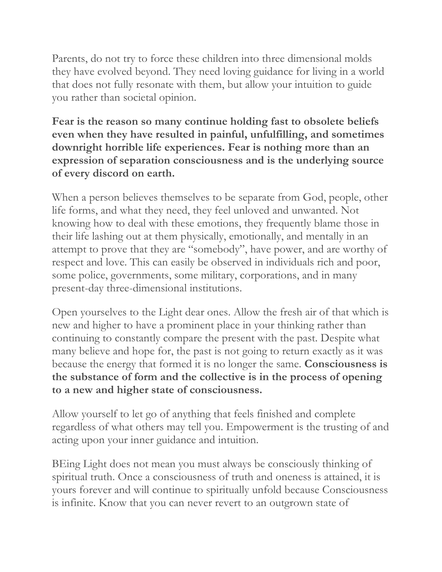Parents, do not try to force these children into three dimensional molds they have evolved beyond. They need loving guidance for living in a world that does not fully resonate with them, but allow your intuition to guide you rather than societal opinion.

#### **Fear is the reason so many continue holding fast to obsolete beliefs even when they have resulted in painful, unfulfilling, and sometimes downright horrible life experiences. Fear is nothing more than an expression of separation consciousness and is the underlying source of every discord on earth.**

When a person believes themselves to be separate from God, people, other life forms, and what they need, they feel unloved and unwanted. Not knowing how to deal with these emotions, they frequently blame those in their life lashing out at them physically, emotionally, and mentally in an attempt to prove that they are "somebody", have power, and are worthy of respect and love. This can easily be observed in individuals rich and poor, some police, governments, some military, corporations, and in many present-day three-dimensional institutions.

Open yourselves to the Light dear ones. Allow the fresh air of that which is new and higher to have a prominent place in your thinking rather than continuing to constantly compare the present with the past. Despite what many believe and hope for, the past is not going to return exactly as it was because the energy that formed it is no longer the same. **Consciousness is the substance of form and the collective is in the process of opening to a new and higher state of consciousness.**

Allow yourself to let go of anything that feels finished and complete regardless of what others may tell you. Empowerment is the trusting of and acting upon your inner guidance and intuition.

BEing Light does not mean you must always be consciously thinking of spiritual truth. Once a consciousness of truth and oneness is attained, it is yours forever and will continue to spiritually unfold because Consciousness is infinite. Know that you can never revert to an outgrown state of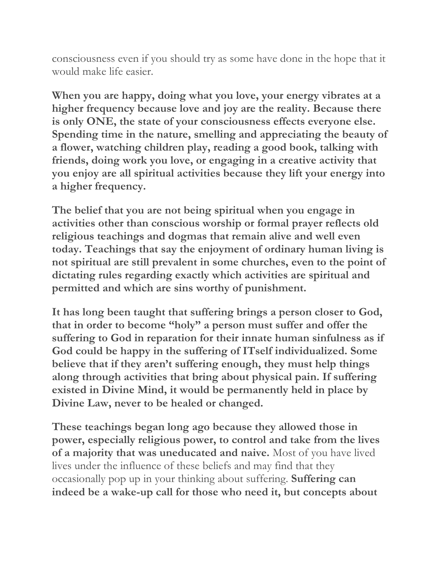consciousness even if you should try as some have done in the hope that it would make life easier.

**When you are happy, doing what you love, your energy vibrates at a higher frequency because love and joy are the reality. Because there is only ONE, the state of your consciousness effects everyone else. Spending time in the nature, smelling and appreciating the beauty of a flower, watching children play, reading a good book, talking with friends, doing work you love, or engaging in a creative activity that you enjoy are all spiritual activities because they lift your energy into a higher frequency.**

**The belief that you are not being spiritual when you engage in activities other than conscious worship or formal prayer reflects old religious teachings and dogmas that remain alive and well even today. Teachings that say the enjoyment of ordinary human living is not spiritual are still prevalent in some churches, even to the point of dictating rules regarding exactly which activities are spiritual and permitted and which are sins worthy of punishment.**

**It has long been taught that suffering brings a person closer to God, that in order to become "holy" a person must suffer and offer the suffering to God in reparation for their innate human sinfulness as if God could be happy in the suffering of ITself individualized. Some believe that if they aren't suffering enough, they must help things along through activities that bring about physical pain. If suffering existed in Divine Mind, it would be permanently held in place by Divine Law, never to be healed or changed.**

**These teachings began long ago because they allowed those in power, especially religious power, to control and take from the lives of a majority that was uneducated and naive.** Most of you have lived lives under the influence of these beliefs and may find that they occasionally pop up in your thinking about suffering. **Suffering can indeed be a wake-up call for those who need it, but concepts about**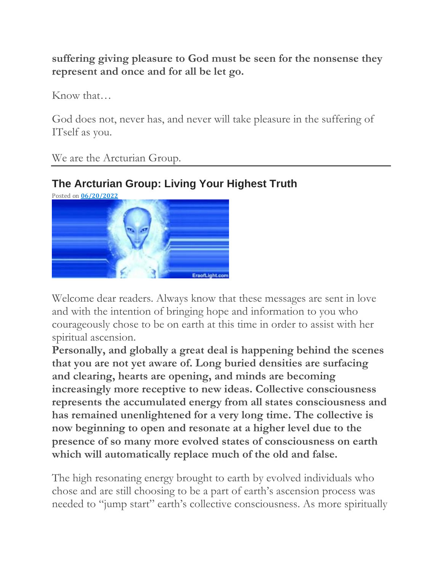**suffering giving pleasure to God must be seen for the nonsense they represent and once and for all be let go.**

Know that…

God does not, never has, and never will take pleasure in the suffering of ITself as you.

We are the Arcturian Group.

## **The Arcturian Group: Living Your Highest Truth**



Welcome dear readers. Always know that these messages are sent in love and with the intention of bringing hope and information to you who courageously chose to be on earth at this time in order to assist with her spiritual ascension.

**Personally, and globally a great deal is happening behind the scenes that you are not yet aware of. Long buried densities are surfacing and clearing, hearts are opening, and minds are becoming increasingly more receptive to new ideas. Collective consciousness represents the accumulated energy from all states consciousness and has remained unenlightened for a very long time. The collective is now beginning to open and resonate at a higher level due to the presence of so many more evolved states of consciousness on earth which will automatically replace much of the old and false.**

The high resonating energy brought to earth by evolved individuals who chose and are still choosing to be a part of earth's ascension process was needed to "jump start" earth's collective consciousness. As more spiritually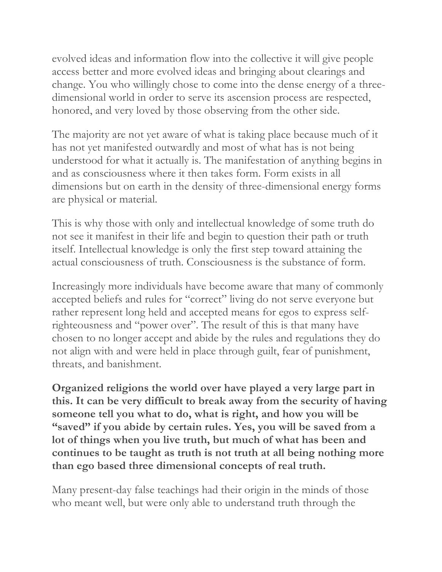evolved ideas and information flow into the collective it will give people access better and more evolved ideas and bringing about clearings and change. You who willingly chose to come into the dense energy of a threedimensional world in order to serve its ascension process are respected, honored, and very loved by those observing from the other side.

The majority are not yet aware of what is taking place because much of it has not yet manifested outwardly and most of what has is not being understood for what it actually is. The manifestation of anything begins in and as consciousness where it then takes form. Form exists in all dimensions but on earth in the density of three-dimensional energy forms are physical or material.

This is why those with only and intellectual knowledge of some truth do not see it manifest in their life and begin to question their path or truth itself. Intellectual knowledge is only the first step toward attaining the actual consciousness of truth. Consciousness is the substance of form.

Increasingly more individuals have become aware that many of commonly accepted beliefs and rules for "correct" living do not serve everyone but rather represent long held and accepted means for egos to express selfrighteousness and "power over". The result of this is that many have chosen to no longer accept and abide by the rules and regulations they do not align with and were held in place through guilt, fear of punishment, threats, and banishment.

**Organized religions the world over have played a very large part in this. It can be very difficult to break away from the security of having someone tell you what to do, what is right, and how you will be "saved" if you abide by certain rules. Yes, you will be saved from a lot of things when you live truth, but much of what has been and continues to be taught as truth is not truth at all being nothing more than ego based three dimensional concepts of real truth.**

Many present-day false teachings had their origin in the minds of those who meant well, but were only able to understand truth through the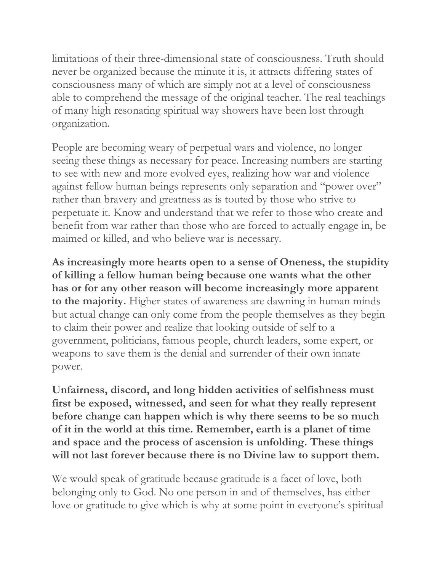limitations of their three-dimensional state of consciousness. Truth should never be organized because the minute it is, it attracts differing states of consciousness many of which are simply not at a level of consciousness able to comprehend the message of the original teacher. The real teachings of many high resonating spiritual way showers have been lost through organization.

People are becoming weary of perpetual wars and violence, no longer seeing these things as necessary for peace. Increasing numbers are starting to see with new and more evolved eyes, realizing how war and violence against fellow human beings represents only separation and "power over" rather than bravery and greatness as is touted by those who strive to perpetuate it. Know and understand that we refer to those who create and benefit from war rather than those who are forced to actually engage in, be maimed or killed, and who believe war is necessary.

**As increasingly more hearts open to a sense of Oneness, the stupidity of killing a fellow human being because one wants what the other has or for any other reason will become increasingly more apparent to the majority.** Higher states of awareness are dawning in human minds but actual change can only come from the people themselves as they begin to claim their power and realize that looking outside of self to a government, politicians, famous people, church leaders, some expert, or weapons to save them is the denial and surrender of their own innate power.

**Unfairness, discord, and long hidden activities of selfishness must first be exposed, witnessed, and seen for what they really represent before change can happen which is why there seems to be so much of it in the world at this time. Remember, earth is a planet of time and space and the process of ascension is unfolding. These things will not last forever because there is no Divine law to support them.**

We would speak of gratitude because gratitude is a facet of love, both belonging only to God. No one person in and of themselves, has either love or gratitude to give which is why at some point in everyone's spiritual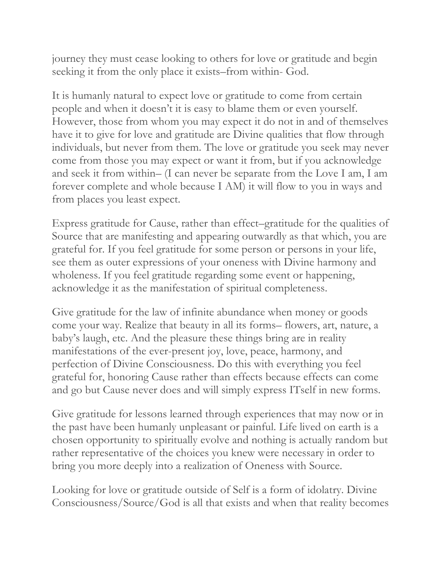journey they must cease looking to others for love or gratitude and begin seeking it from the only place it exists–from within- God.

It is humanly natural to expect love or gratitude to come from certain people and when it doesn't it is easy to blame them or even yourself. However, those from whom you may expect it do not in and of themselves have it to give for love and gratitude are Divine qualities that flow through individuals, but never from them. The love or gratitude you seek may never come from those you may expect or want it from, but if you acknowledge and seek it from within– (I can never be separate from the Love I am, I am forever complete and whole because I AM) it will flow to you in ways and from places you least expect.

Express gratitude for Cause, rather than effect–gratitude for the qualities of Source that are manifesting and appearing outwardly as that which, you are grateful for. If you feel gratitude for some person or persons in your life, see them as outer expressions of your oneness with Divine harmony and wholeness. If you feel gratitude regarding some event or happening, acknowledge it as the manifestation of spiritual completeness.

Give gratitude for the law of infinite abundance when money or goods come your way. Realize that beauty in all its forms– flowers, art, nature, a baby's laugh, etc. And the pleasure these things bring are in reality manifestations of the ever-present joy, love, peace, harmony, and perfection of Divine Consciousness. Do this with everything you feel grateful for, honoring Cause rather than effects because effects can come and go but Cause never does and will simply express ITself in new forms.

Give gratitude for lessons learned through experiences that may now or in the past have been humanly unpleasant or painful. Life lived on earth is a chosen opportunity to spiritually evolve and nothing is actually random but rather representative of the choices you knew were necessary in order to bring you more deeply into a realization of Oneness with Source.

Looking for love or gratitude outside of Self is a form of idolatry. Divine Consciousness/Source/God is all that exists and when that reality becomes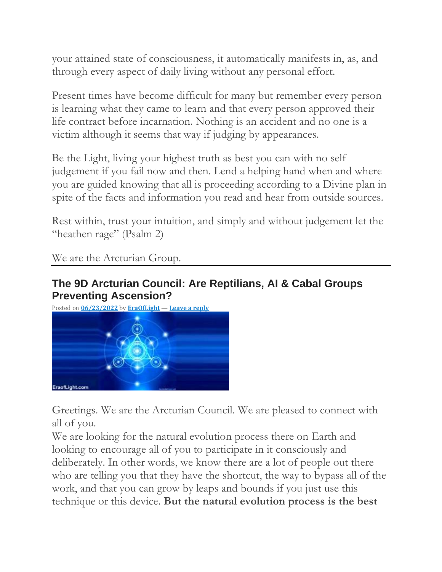your attained state of consciousness, it automatically manifests in, as, and through every aspect of daily living without any personal effort.

Present times have become difficult for many but remember every person is learning what they came to learn and that every person approved their life contract before incarnation. Nothing is an accident and no one is a victim although it seems that way if judging by appearances.

Be the Light, living your highest truth as best you can with no self judgement if you fail now and then. Lend a helping hand when and where you are guided knowing that all is proceeding according to a Divine plan in spite of the facts and information you read and hear from outside sources.

Rest within, trust your intuition, and simply and without judgement let the "heathen rage" (Psalm 2)

We are the Arcturian Group.

#### **The 9D Arcturian Council: Are Reptilians, AI & Cabal Groups Preventing Ascension?**



Greetings. We are the Arcturian Council. We are pleased to connect with all of you.

We are looking for the natural evolution process there on Earth and looking to encourage all of you to participate in it consciously and deliberately. In other words, we know there are a lot of people out there who are telling you that they have the shortcut, the way to bypass all of the work, and that you can grow by leaps and bounds if you just use this technique or this device. **But the natural evolution process is the best**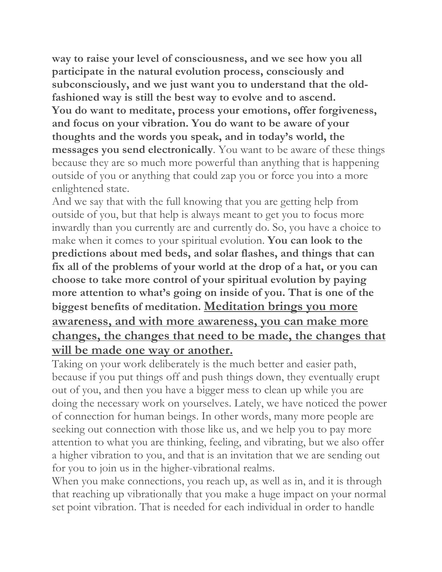**way to raise your level of consciousness, and we see how you all participate in the natural evolution process, consciously and subconsciously, and we just want you to understand that the oldfashioned way is still the best way to evolve and to ascend. You do want to meditate, process your emotions, offer forgiveness, and focus on your vibration. You do want to be aware of your thoughts and the words you speak, and in today's world, the messages you send electronically**. You want to be aware of these things because they are so much more powerful than anything that is happening outside of you or anything that could zap you or force you into a more enlightened state.

And we say that with the full knowing that you are getting help from outside of you, but that help is always meant to get you to focus more inwardly than you currently are and currently do. So, you have a choice to make when it comes to your spiritual evolution. **You can look to the predictions about med beds, and solar flashes, and things that can fix all of the problems of your world at the drop of a hat, or you can choose to take more control of your spiritual evolution by paying more attention to what's going on inside of you. That is one of the biggest benefits of meditation. Meditation brings you more awareness, and with more awareness, you can make more changes, the changes that need to be made, the changes that will be made one way or another.**

Taking on your work deliberately is the much better and easier path, because if you put things off and push things down, they eventually erupt out of you, and then you have a bigger mess to clean up while you are doing the necessary work on yourselves. Lately, we have noticed the power of connection for human beings. In other words, many more people are seeking out connection with those like us, and we help you to pay more attention to what you are thinking, feeling, and vibrating, but we also offer a higher vibration to you, and that is an invitation that we are sending out for you to join us in the higher-vibrational realms.

When you make connections, you reach up, as well as in, and it is through that reaching up vibrationally that you make a huge impact on your normal set point vibration. That is needed for each individual in order to handle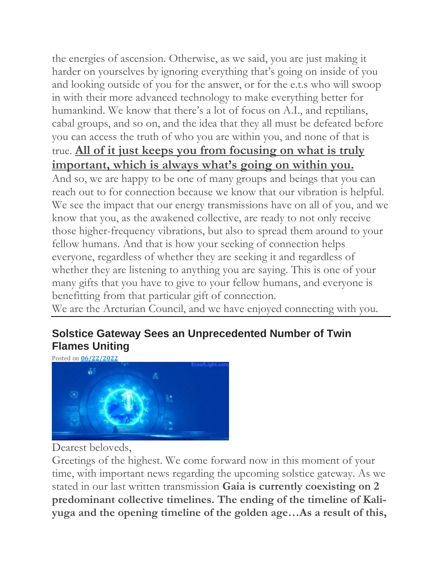the energies of ascension. Otherwise, as we said, you are just making it harder on yourselves by ignoring everything that's going on inside of you and looking outside of you for the answer, or for the e.t.s who will swoop in with their more advanced technology to make everything better for humankind. We know that there's a lot of focus on A.I., and reptilians, cabal groups, and so on, and the idea that they all must be defeated before you can access the truth of who you are within you, and none of that is true. **All of it just keeps you from focusing on what is truly important, which is always what's going on within you.**

And so, we are happy to be one of many groups and beings that you can reach out to for connection because we know that our vibration is helpful. We see the impact that our energy transmissions have on all of you, and we know that you, as the awakened collective, are ready to not only receive those higher-frequency vibrations, but also to spread them around to your fellow humans. And that is how your seeking of connection helps everyone, regardless of whether they are seeking it and regardless of whether they are listening to anything you are saying. This is one of your many gifts that you have to give to your fellow humans, and everyone is benefitting from that particular gift of connection.

We are the Arcturian Council, and we have enjoyed connecting with you.

## **Solstice Gateway Sees an Unprecedented Number of Twin Flames Uniting**



Dearest beloveds,

Greetings of the highest. We come forward now in this moment of your time, with important news regarding the upcoming solstice gateway. As we stated in our last written transmission **Gaia is currently coexisting on 2 predominant collective timelines. The ending of the timeline of Kaliyuga and the opening timeline of the golden age…As a result of this,**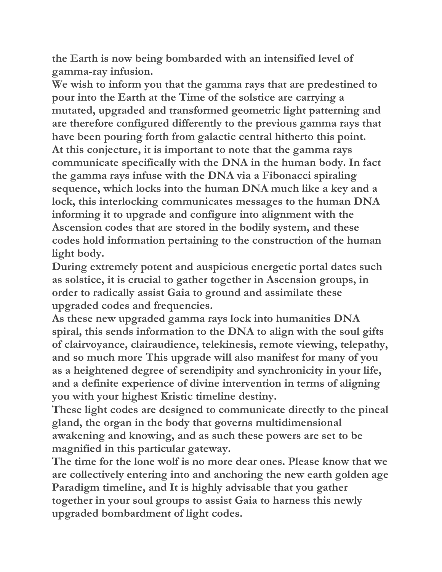**the Earth is now being bombarded with an intensified level of gamma-ray infusion.**

**We wish to inform you that the gamma rays that are predestined to pour into the Earth at the Time of the solstice are carrying a mutated, upgraded and transformed geometric light patterning and are therefore configured differently to the previous gamma rays that have been pouring forth from galactic central hitherto this point. At this conjecture, it is important to note that the gamma rays communicate specifically with the DNA in the human body. In fact the gamma rays infuse with the DNA via a Fibonacci spiraling sequence, which locks into the human DNA much like a key and a lock, this interlocking communicates messages to the human DNA informing it to upgrade and configure into alignment with the Ascension codes that are stored in the bodily system, and these codes hold information pertaining to the construction of the human light body.**

**During extremely potent and auspicious energetic portal dates such as solstice, it is crucial to gather together in Ascension groups, in order to radically assist Gaia to ground and assimilate these upgraded codes and frequencies.**

**As these new upgraded gamma rays lock into humanities DNA spiral, this sends information to the DNA to align with the soul gifts of clairvoyance, clairaudience, telekinesis, remote viewing, telepathy, and so much more This upgrade will also manifest for many of you as a heightened degree of serendipity and synchronicity in your life, and a definite experience of divine intervention in terms of aligning you with your highest Kristic timeline destiny.**

**These light codes are designed to communicate directly to the pineal gland, the organ in the body that governs multidimensional awakening and knowing, and as such these powers are set to be magnified in this particular gateway.**

**The time for the lone wolf is no more dear ones. Please know that we are collectively entering into and anchoring the new earth golden age Paradigm timeline, and It is highly advisable that you gather together in your soul groups to assist Gaia to harness this newly upgraded bombardment of light codes.**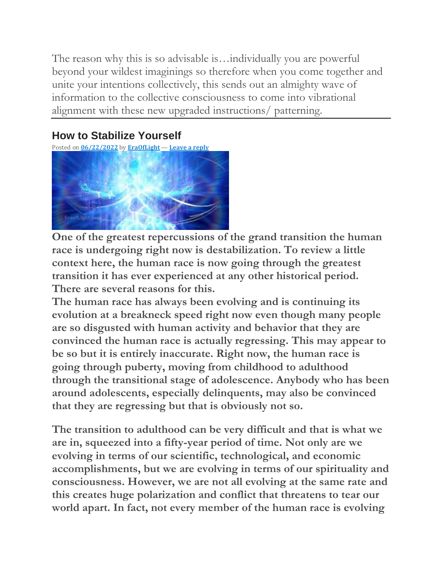The reason why this is so advisable is…individually you are powerful beyond your wildest imaginings so therefore when you come together and unite your intentions collectively, this sends out an almighty wave of information to the collective consciousness to come into vibrational alignment with these new upgraded instructions/ patterning.

## **How to Stabilize Yourself**

Posted on **[06/22/2022](https://eraoflight.com/2022/06/22/how-to-stabilize-yourself/)** by **[EraOfLight](https://eraoflight.com/author/theeraoflight/)** — **[Leave](https://eraoflight.com/2022/06/22/how-to-stabilize-yourself/#respond) a reply**



**One of the greatest repercussions of the grand transition the human race is undergoing right now is destabilization. To review a little context here, the human race is now going through the greatest transition it has ever experienced at any other historical period. There are several reasons for this.**

**The human race has always been evolving and is continuing its evolution at a breakneck speed right now even though many people are so disgusted with human activity and behavior that they are convinced the human race is actually regressing. This may appear to be so but it is entirely inaccurate. Right now, the human race is going through puberty, moving from childhood to adulthood through the transitional stage of adolescence. Anybody who has been around adolescents, especially delinquents, may also be convinced that they are regressing but that is obviously not so.**

**The transition to adulthood can be very difficult and that is what we are in, squeezed into a fifty-year period of time. Not only are we evolving in terms of our scientific, technological, and economic accomplishments, but we are evolving in terms of our spirituality and consciousness. However, we are not all evolving at the same rate and this creates huge polarization and conflict that threatens to tear our world apart. In fact, not every member of the human race is evolving**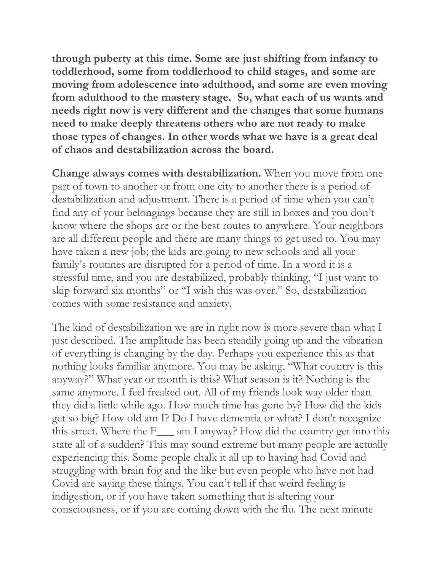**through puberty at this time. Some are just shifting from infancy to toddlerhood, some from toddlerhood to child stages, and some are moving from adolescence into adulthood, and some are even moving from adulthood to the mastery stage. So, what each of us wants and needs right now is very different and the changes that some humans need to make deeply threatens others who are not ready to make those types of changes. In other words what we have is a great deal of chaos and destabilization across the board.**

**Change always comes with destabilization.** When you move from one part of town to another or from one city to another there is a period of destabilization and adjustment. There is a period of time when you can't find any of your belongings because they are still in boxes and you don't know where the shops are or the best routes to anywhere. Your neighbors are all different people and there are many things to get used to. You may have taken a new job; the kids are going to new schools and all your family's routines are disrupted for a period of time. In a word it is a stressful time, and you are destabilized, probably thinking, "I just want to skip forward six months" or "I wish this was over." So, destabilization comes with some resistance and anxiety.

The kind of destabilization we are in right now is more severe than what I just described. The amplitude has been steadily going up and the vibration of everything is changing by the day. Perhaps you experience this as that nothing looks familiar anymore. You may be asking, "What country is this anyway?" What year or month is this? What season is it? Nothing is the same anymore. I feel freaked out. All of my friends look way older than they did a little while ago. How much time has gone by? How did the kids get so big? How old am I? Do I have dementia or what? I don't recognize this street. Where the F\_\_\_ am I anyway? How did the country get into this state all of a sudden? This may sound extreme but many people are actually experiencing this. Some people chalk it all up to having had Covid and struggling with brain fog and the like but even people who have not had Covid are saying these things. You can't tell if that weird feeling is indigestion, or if you have taken something that is altering your consciousness, or if you are coming down with the flu. The next minute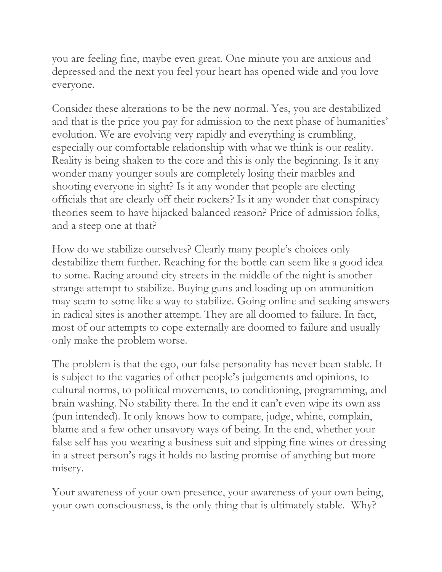you are feeling fine, maybe even great. One minute you are anxious and depressed and the next you feel your heart has opened wide and you love everyone.

Consider these alterations to be the new normal. Yes, you are destabilized and that is the price you pay for admission to the next phase of humanities' evolution. We are evolving very rapidly and everything is crumbling, especially our comfortable relationship with what we think is our reality. Reality is being shaken to the core and this is only the beginning. Is it any wonder many younger souls are completely losing their marbles and shooting everyone in sight? Is it any wonder that people are electing officials that are clearly off their rockers? Is it any wonder that conspiracy theories seem to have hijacked balanced reason? Price of admission folks, and a steep one at that?

How do we stabilize ourselves? Clearly many people's choices only destabilize them further. Reaching for the bottle can seem like a good idea to some. Racing around city streets in the middle of the night is another strange attempt to stabilize. Buying guns and loading up on ammunition may seem to some like a way to stabilize. Going online and seeking answers in radical sites is another attempt. They are all doomed to failure. In fact, most of our attempts to cope externally are doomed to failure and usually only make the problem worse.

The problem is that the ego, our false personality has never been stable. It is subject to the vagaries of other people's judgements and opinions, to cultural norms, to political movements, to conditioning, programming, and brain washing. No stability there. In the end it can't even wipe its own ass (pun intended). It only knows how to compare, judge, whine, complain, blame and a few other unsavory ways of being. In the end, whether your false self has you wearing a business suit and sipping fine wines or dressing in a street person's rags it holds no lasting promise of anything but more misery.

Your awareness of your own presence, your awareness of your own being, your own consciousness, is the only thing that is ultimately stable. Why?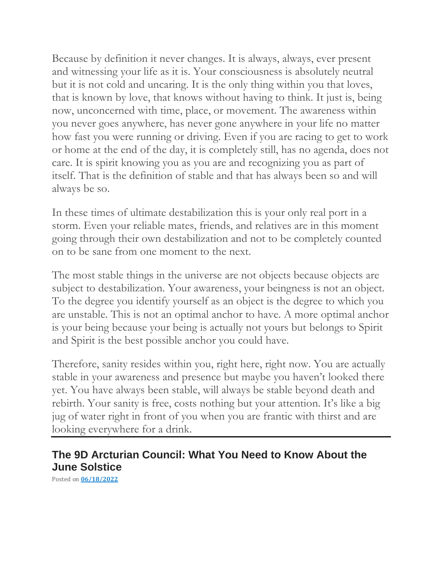Because by definition it never changes. It is always, always, ever present and witnessing your life as it is. Your consciousness is absolutely neutral but it is not cold and uncaring. It is the only thing within you that loves, that is known by love, that knows without having to think. It just is, being now, unconcerned with time, place, or movement. The awareness within you never goes anywhere, has never gone anywhere in your life no matter how fast you were running or driving. Even if you are racing to get to work or home at the end of the day, it is completely still, has no agenda, does not care. It is spirit knowing you as you are and recognizing you as part of itself. That is the definition of stable and that has always been so and will always be so.

In these times of ultimate destabilization this is your only real port in a storm. Even your reliable mates, friends, and relatives are in this moment going through their own destabilization and not to be completely counted on to be sane from one moment to the next.

The most stable things in the universe are not objects because objects are subject to destabilization. Your awareness, your beingness is not an object. To the degree you identify yourself as an object is the degree to which you are unstable. This is not an optimal anchor to have. A more optimal anchor is your being because your being is actually not yours but belongs to Spirit and Spirit is the best possible anchor you could have.

Therefore, sanity resides within you, right here, right now. You are actually stable in your awareness and presence but maybe you haven't looked there yet. You have always been stable, will always be stable beyond death and rebirth. Your sanity is free, costs nothing but your attention. It's like a big jug of water right in front of you when you are frantic with thirst and are looking everywhere for a drink.

### **The 9D Arcturian Council: What You Need to Know About the June Solstice**

Posted on **[06/18/2022](https://eraoflight.com/2022/06/18/the-9d-arcturian-council-what-you-need-to-know-about-the-june-solstice/)**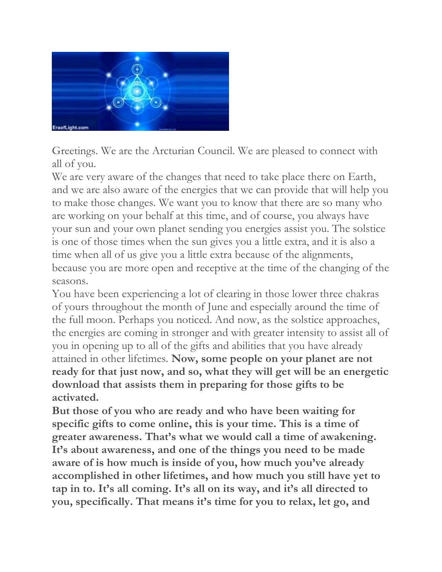

Greetings. We are the Arcturian Council. We are pleased to connect with all of you.

We are very aware of the changes that need to take place there on Earth, and we are also aware of the energies that we can provide that will help you to make those changes. We want you to know that there are so many who are working on your behalf at this time, and of course, you always have your sun and your own planet sending you energies assist you. The solstice is one of those times when the sun gives you a little extra, and it is also a time when all of us give you a little extra because of the alignments, because you are more open and receptive at the time of the changing of the seasons.

You have been experiencing a lot of clearing in those lower three chakras of yours throughout the month of June and especially around the time of the full moon. Perhaps you noticed. And now, as the solstice approaches, the energies are coming in stronger and with greater intensity to assist all of you in opening up to all of the gifts and abilities that you have already attained in other lifetimes. **Now, some people on your planet are not ready for that just now, and so, what they will get will be an energetic download that assists them in preparing for those gifts to be activated.**

**But those of you who are ready and who have been waiting for specific gifts to come online, this is your time. This is a time of greater awareness. That's what we would call a time of awakening. It's about awareness, and one of the things you need to be made aware of is how much is inside of you, how much you've already accomplished in other lifetimes, and how much you still have yet to tap in to. It's all coming. It's all on its way, and it's all directed to you, specifically. That means it's time for you to relax, let go, and**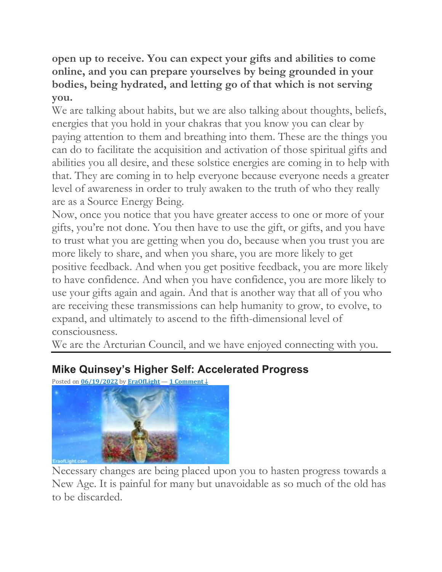**open up to receive. You can expect your gifts and abilities to come online, and you can prepare yourselves by being grounded in your bodies, being hydrated, and letting go of that which is not serving you.**

We are talking about habits, but we are also talking about thoughts, beliefs, energies that you hold in your chakras that you know you can clear by paying attention to them and breathing into them. These are the things you can do to facilitate the acquisition and activation of those spiritual gifts and abilities you all desire, and these solstice energies are coming in to help with that. They are coming in to help everyone because everyone needs a greater level of awareness in order to truly awaken to the truth of who they really are as a Source Energy Being.

Now, once you notice that you have greater access to one or more of your gifts, you're not done. You then have to use the gift, or gifts, and you have to trust what you are getting when you do, because when you trust you are more likely to share, and when you share, you are more likely to get positive feedback. And when you get positive feedback, you are more likely to have confidence. And when you have confidence, you are more likely to use your gifts again and again. And that is another way that all of you who are receiving these transmissions can help humanity to grow, to evolve, to expand, and ultimately to ascend to the fifth-dimensional level of consciousness.

We are the Arcturian Council, and we have enjoyed connecting with you.

## **Mike Quinsey's Higher Self: Accelerated Progress**

Posted on **[06/19/2022](https://eraoflight.com/2022/06/19/mike-quinseys-higher-self-accelerated-progress/)** by **[EraOfLight](https://eraoflight.com/author/theeraoflight/)** — **1 [Comment](https://eraoflight.com/2022/06/19/mike-quinseys-higher-self-accelerated-progress/#comments) ↓**



Necessary changes are being placed upon you to hasten progress towards a New Age. It is painful for many but unavoidable as so much of the old has to be discarded.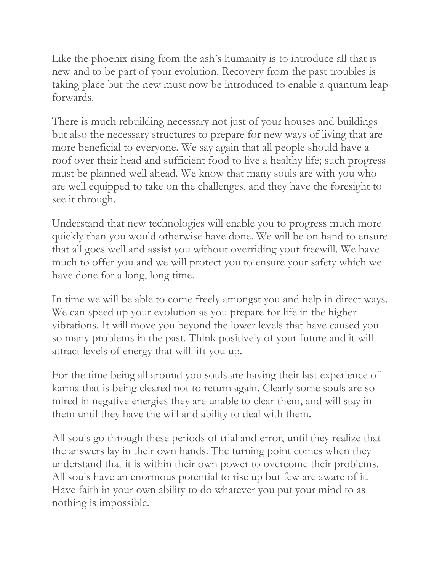Like the phoenix rising from the ash's humanity is to introduce all that is new and to be part of your evolution. Recovery from the past troubles is taking place but the new must now be introduced to enable a quantum leap forwards.

There is much rebuilding necessary not just of your houses and buildings but also the necessary structures to prepare for new ways of living that are more beneficial to everyone. We say again that all people should have a roof over their head and sufficient food to live a healthy life; such progress must be planned well ahead. We know that many souls are with you who are well equipped to take on the challenges, and they have the foresight to see it through.

Understand that new technologies will enable you to progress much more quickly than you would otherwise have done. We will be on hand to ensure that all goes well and assist you without overriding your freewill. We have much to offer you and we will protect you to ensure your safety which we have done for a long, long time.

In time we will be able to come freely amongst you and help in direct ways. We can speed up your evolution as you prepare for life in the higher vibrations. It will move you beyond the lower levels that have caused you so many problems in the past. Think positively of your future and it will attract levels of energy that will lift you up.

For the time being all around you souls are having their last experience of karma that is being cleared not to return again. Clearly some souls are so mired in negative energies they are unable to clear them, and will stay in them until they have the will and ability to deal with them.

All souls go through these periods of trial and error, until they realize that the answers lay in their own hands. The turning point comes when they understand that it is within their own power to overcome their problems. All souls have an enormous potential to rise up but few are aware of it. Have faith in your own ability to do whatever you put your mind to as nothing is impossible.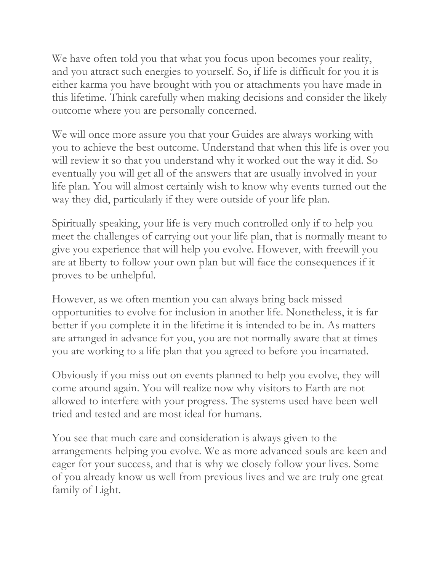We have often told you that what you focus upon becomes your reality, and you attract such energies to yourself. So, if life is difficult for you it is either karma you have brought with you or attachments you have made in this lifetime. Think carefully when making decisions and consider the likely outcome where you are personally concerned.

We will once more assure you that your Guides are always working with you to achieve the best outcome. Understand that when this life is over you will review it so that you understand why it worked out the way it did. So eventually you will get all of the answers that are usually involved in your life plan. You will almost certainly wish to know why events turned out the way they did, particularly if they were outside of your life plan.

Spiritually speaking, your life is very much controlled only if to help you meet the challenges of carrying out your life plan, that is normally meant to give you experience that will help you evolve. However, with freewill you are at liberty to follow your own plan but will face the consequences if it proves to be unhelpful.

However, as we often mention you can always bring back missed opportunities to evolve for inclusion in another life. Nonetheless, it is far better if you complete it in the lifetime it is intended to be in. As matters are arranged in advance for you, you are not normally aware that at times you are working to a life plan that you agreed to before you incarnated.

Obviously if you miss out on events planned to help you evolve, they will come around again. You will realize now why visitors to Earth are not allowed to interfere with your progress. The systems used have been well tried and tested and are most ideal for humans.

You see that much care and consideration is always given to the arrangements helping you evolve. We as more advanced souls are keen and eager for your success, and that is why we closely follow your lives. Some of you already know us well from previous lives and we are truly one great family of Light.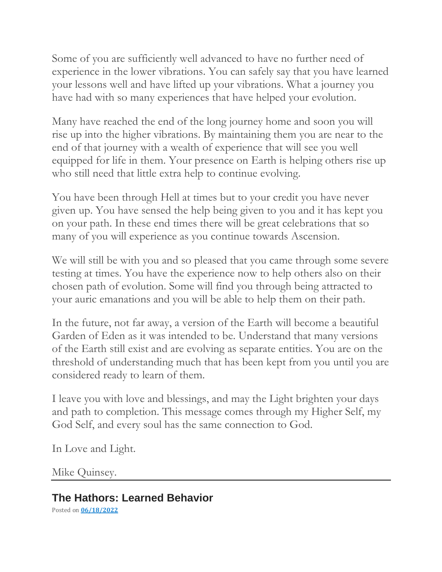Some of you are sufficiently well advanced to have no further need of experience in the lower vibrations. You can safely say that you have learned your lessons well and have lifted up your vibrations. What a journey you have had with so many experiences that have helped your evolution.

Many have reached the end of the long journey home and soon you will rise up into the higher vibrations. By maintaining them you are near to the end of that journey with a wealth of experience that will see you well equipped for life in them. Your presence on Earth is helping others rise up who still need that little extra help to continue evolving.

You have been through Hell at times but to your credit you have never given up. You have sensed the help being given to you and it has kept you on your path. In these end times there will be great celebrations that so many of you will experience as you continue towards Ascension.

We will still be with you and so pleased that you came through some severe testing at times. You have the experience now to help others also on their chosen path of evolution. Some will find you through being attracted to your auric emanations and you will be able to help them on their path.

In the future, not far away, a version of the Earth will become a beautiful Garden of Eden as it was intended to be. Understand that many versions of the Earth still exist and are evolving as separate entities. You are on the threshold of understanding much that has been kept from you until you are considered ready to learn of them.

I leave you with love and blessings, and may the Light brighten your days and path to completion. This message comes through my Higher Self, my God Self, and every soul has the same connection to God.

In Love and Light.

Mike Quinsey.

## **The Hathors: Learned Behavior**

Posted on **[06/18/2022](https://eraoflight.com/2022/06/18/the-hathors-learned-behavior/)**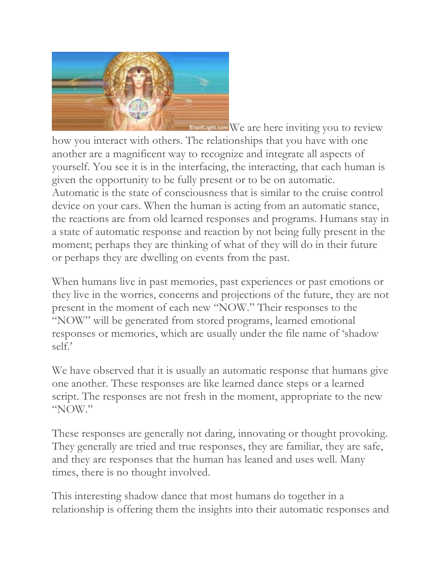

**EraofLight.com** We are here inviting you to review how you interact with others. The relationships that you have with one another are a magnificent way to recognize and integrate all aspects of yourself. You see it is in the interfacing, the interacting, that each human is given the opportunity to be fully present or to be on automatic. Automatic is the state of consciousness that is similar to the cruise control device on your cars. When the human is acting from an automatic stance, the reactions are from old learned responses and programs. Humans stay in a state of automatic response and reaction by not being fully present in the moment; perhaps they are thinking of what of they will do in their future or perhaps they are dwelling on events from the past.

When humans live in past memories, past experiences or past emotions or they live in the worries, concerns and projections of the future, they are not present in the moment of each new "NOW." Their responses to the "NOW" will be generated from stored programs, learned emotional responses or memories, which are usually under the file name of 'shadow self.'

We have observed that it is usually an automatic response that humans give one another. These responses are like learned dance steps or a learned script. The responses are not fresh in the moment, appropriate to the new "NOW."

These responses are generally not daring, innovating or thought provoking. They generally are tried and true responses, they are familiar, they are safe, and they are responses that the human has leaned and uses well. Many times, there is no thought involved.

This interesting shadow dance that most humans do together in a relationship is offering them the insights into their automatic responses and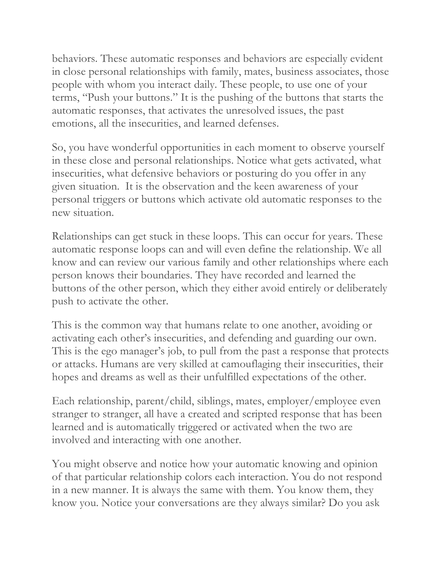behaviors. These automatic responses and behaviors are especially evident in close personal relationships with family, mates, business associates, those people with whom you interact daily. These people, to use one of your terms, "Push your buttons." It is the pushing of the buttons that starts the automatic responses, that activates the unresolved issues, the past emotions, all the insecurities, and learned defenses.

So, you have wonderful opportunities in each moment to observe yourself in these close and personal relationships. Notice what gets activated, what insecurities, what defensive behaviors or posturing do you offer in any given situation. It is the observation and the keen awareness of your personal triggers or buttons which activate old automatic responses to the new situation.

Relationships can get stuck in these loops. This can occur for years. These automatic response loops can and will even define the relationship. We all know and can review our various family and other relationships where each person knows their boundaries. They have recorded and learned the buttons of the other person, which they either avoid entirely or deliberately push to activate the other.

This is the common way that humans relate to one another, avoiding or activating each other's insecurities, and defending and guarding our own. This is the ego manager's job, to pull from the past a response that protects or attacks. Humans are very skilled at camouflaging their insecurities, their hopes and dreams as well as their unfulfilled expectations of the other.

Each relationship, parent/child, siblings, mates, employer/employee even stranger to stranger, all have a created and scripted response that has been learned and is automatically triggered or activated when the two are involved and interacting with one another.

You might observe and notice how your automatic knowing and opinion of that particular relationship colors each interaction. You do not respond in a new manner. It is always the same with them. You know them, they know you. Notice your conversations are they always similar? Do you ask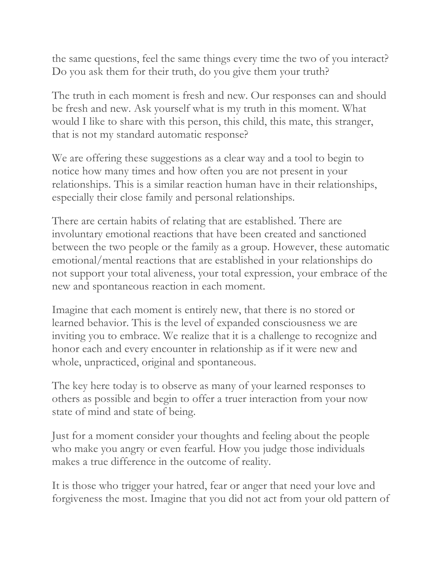the same questions, feel the same things every time the two of you interact? Do you ask them for their truth, do you give them your truth?

The truth in each moment is fresh and new. Our responses can and should be fresh and new. Ask yourself what is my truth in this moment. What would I like to share with this person, this child, this mate, this stranger, that is not my standard automatic response?

We are offering these suggestions as a clear way and a tool to begin to notice how many times and how often you are not present in your relationships. This is a similar reaction human have in their relationships, especially their close family and personal relationships.

There are certain habits of relating that are established. There are involuntary emotional reactions that have been created and sanctioned between the two people or the family as a group. However, these automatic emotional/mental reactions that are established in your relationships do not support your total aliveness, your total expression, your embrace of the new and spontaneous reaction in each moment.

Imagine that each moment is entirely new, that there is no stored or learned behavior. This is the level of expanded consciousness we are inviting you to embrace. We realize that it is a challenge to recognize and honor each and every encounter in relationship as if it were new and whole, unpracticed, original and spontaneous.

The key here today is to observe as many of your learned responses to others as possible and begin to offer a truer interaction from your now state of mind and state of being.

Just for a moment consider your thoughts and feeling about the people who make you angry or even fearful. How you judge those individuals makes a true difference in the outcome of reality.

It is those who trigger your hatred, fear or anger that need your love and forgiveness the most. Imagine that you did not act from your old pattern of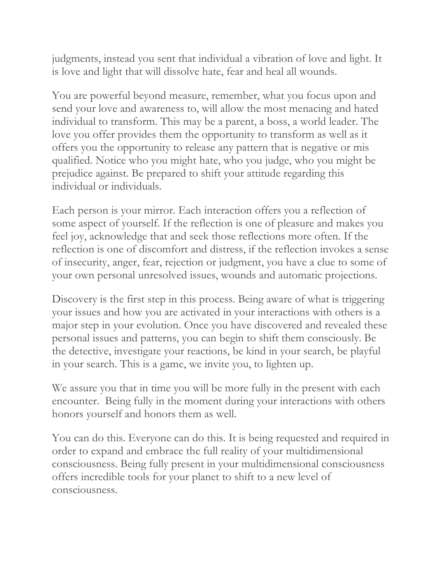judgments, instead you sent that individual a vibration of love and light. It is love and light that will dissolve hate, fear and heal all wounds.

You are powerful beyond measure, remember, what you focus upon and send your love and awareness to, will allow the most menacing and hated individual to transform. This may be a parent, a boss, a world leader. The love you offer provides them the opportunity to transform as well as it offers you the opportunity to release any pattern that is negative or mis qualified. Notice who you might hate, who you judge, who you might be prejudice against. Be prepared to shift your attitude regarding this individual or individuals.

Each person is your mirror. Each interaction offers you a reflection of some aspect of yourself. If the reflection is one of pleasure and makes you feel joy, acknowledge that and seek those reflections more often. If the reflection is one of discomfort and distress, if the reflection invokes a sense of insecurity, anger, fear, rejection or judgment, you have a clue to some of your own personal unresolved issues, wounds and automatic projections.

Discovery is the first step in this process. Being aware of what is triggering your issues and how you are activated in your interactions with others is a major step in your evolution. Once you have discovered and revealed these personal issues and patterns, you can begin to shift them consciously. Be the detective, investigate your reactions, be kind in your search, be playful in your search. This is a game, we invite you, to lighten up.

We assure you that in time you will be more fully in the present with each encounter. Being fully in the moment during your interactions with others honors yourself and honors them as well.

You can do this. Everyone can do this. It is being requested and required in order to expand and embrace the full reality of your multidimensional consciousness. Being fully present in your multidimensional consciousness offers incredible tools for your planet to shift to a new level of consciousness.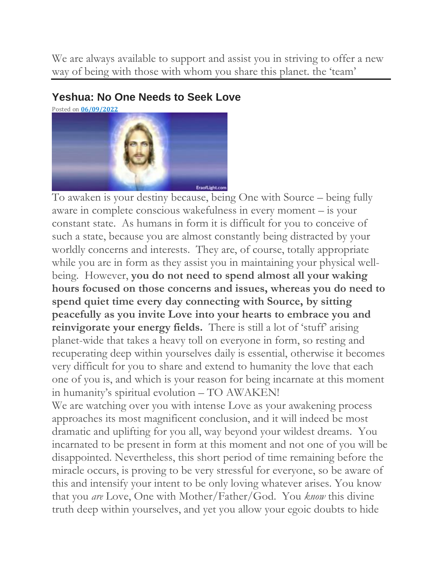We are always available to support and assist you in striving to offer a new way of being with those with whom you share this planet. the 'team'

#### **Yeshua: No One Needs to Seek Love**



To awaken is your destiny because, being One with Source – being fully aware in complete conscious wakefulness in every moment – is your constant state. As humans in form it is difficult for you to conceive of such a state, because you are almost constantly being distracted by your worldly concerns and interests. They are, of course, totally appropriate while you are in form as they assist you in maintaining your physical wellbeing. However, **you do not need to spend almost all your waking hours focused on those concerns and issues, whereas you do need to spend quiet time every day connecting with Source, by sitting peacefully as you invite Love into your hearts to embrace you and**  reinvigorate your energy fields. There is still a lot of 'stuff' arising planet-wide that takes a heavy toll on everyone in form, so resting and recuperating deep within yourselves daily is essential, otherwise it becomes very difficult for you to share and extend to humanity the love that each one of you is, and which is your reason for being incarnate at this moment in humanity's spiritual evolution – TO AWAKEN!

We are watching over you with intense Love as your awakening process approaches its most magnificent conclusion, and it will indeed be most dramatic and uplifting for you all, way beyond your wildest dreams. You incarnated to be present in form at this moment and not one of you will be disappointed. Nevertheless, this short period of time remaining before the miracle occurs, is proving to be very stressful for everyone, so be aware of this and intensify your intent to be only loving whatever arises. You know that you *are* Love, One with Mother/Father/God. You *know* this divine truth deep within yourselves, and yet you allow your egoic doubts to hide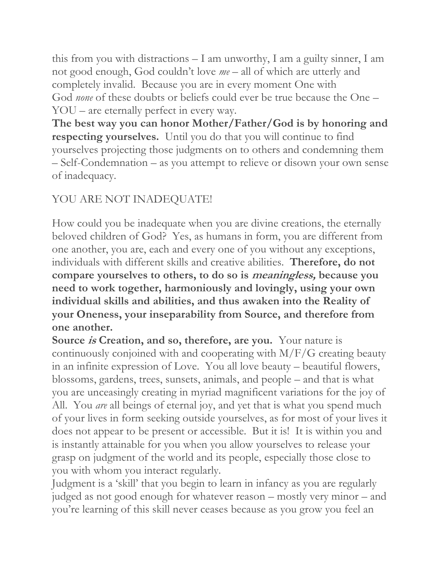this from you with distractions – I am unworthy, I am a guilty sinner, I am not good enough, God couldn't love *me –* all of which are utterly and completely invalid. Because you are in every moment One with God *none* of these doubts or beliefs could ever be true because the One – YOU – are eternally perfect in every way.

**The best way you can honor Mother/Father/God is by honoring and respecting yourselves.** Until you do that you will continue to find yourselves projecting those judgments on to others and condemning them – Self-Condemnation – as you attempt to relieve or disown your own sense of inadequacy.

## YOU ARE NOT INADEQUATE!

How could you be inadequate when you are divine creations, the eternally beloved children of God? Yes, as humans in form, you are different from one another, you are, each and every one of you without any exceptions, individuals with different skills and creative abilities. **Therefore, do not compare yourselves to others, to do so is meaningless, because you need to work together, harmoniously and lovingly, using your own individual skills and abilities, and thus awaken into the Reality of your Oneness, your inseparability from Source, and therefore from one another.**

**Source is Creation, and so, therefore, are you.** Your nature is continuously conjoined with and cooperating with M/F/G creating beauty in an infinite expression of Love. You all love beauty – beautiful flowers, blossoms, gardens, trees, sunsets, animals, and people – and that is what you are unceasingly creating in myriad magnificent variations for the joy of All. You *are* all beings of eternal joy, and yet that is what you spend much of your lives in form seeking outside yourselves, as for most of your lives it does not appear to be present or accessible. But it is! It is within you and is instantly attainable for you when you allow yourselves to release your grasp on judgment of the world and its people, especially those close to you with whom you interact regularly.

Judgment is a 'skill' that you begin to learn in infancy as you are regularly judged as not good enough for whatever reason – mostly very minor – and you're learning of this skill never ceases because as you grow you feel an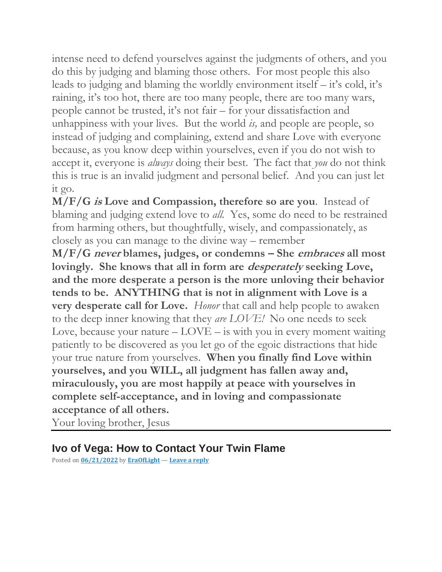intense need to defend yourselves against the judgments of others, and you do this by judging and blaming those others. For most people this also leads to judging and blaming the worldly environment itself – it's cold, it's raining, it's too hot, there are too many people, there are too many wars, people cannot be trusted, it's not fair – for your dissatisfaction and unhappiness with your lives. But the world *is,* and people are people, so instead of judging and complaining, extend and share Love with everyone because, as you know deep within yourselves, even if you do not wish to accept it, everyone is *always* doing their best. The fact that *you* do not think this is true is an invalid judgment and personal belief. And you can just let it go.

**M/F/G is Love and Compassion, therefore so are you**. Instead of blaming and judging extend love to *all.* Yes, some do need to be restrained from harming others, but thoughtfully, wisely, and compassionately, as closely as you can manage to the divine way – remember

**M/F/G never blames, judges, or condemns – She embraces all most lovingly. She knows that all in form are desperately seeking Love, and the more desperate a person is the more unloving their behavior tends to be. ANYTHING that is not in alignment with Love is a very desperate call for Love.** *Honor* that call and help people to awaken to the deep inner knowing that they *are LOVE!* No one needs to seek Love, because your nature  $-$  LOVE  $-$  is with you in every moment waiting patiently to be discovered as you let go of the egoic distractions that hide your true nature from yourselves. **When you finally find Love within yourselves, and you WILL, all judgment has fallen away and, miraculously, you are most happily at peace with yourselves in complete self-acceptance, and in loving and compassionate acceptance of all others.**

Your loving brother, Jesus

### **Ivo of Vega: How to Contact Your Twin Flame**

Posted on **[06/21/2022](https://eraoflight.com/2022/06/21/ivo-of-vega-how-to-contact-your-twin-flame/)** by **[EraOfLight](https://eraoflight.com/author/theeraoflight/)** — **[Leave](https://eraoflight.com/2022/06/21/ivo-of-vega-how-to-contact-your-twin-flame/#respond) a reply**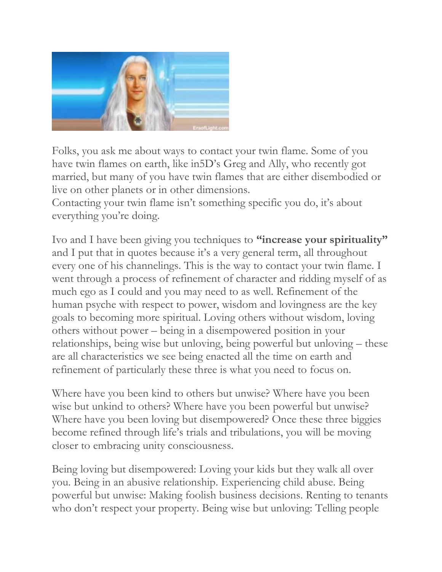

Folks, you ask me about ways to contact your twin flame. Some of you have twin flames on earth, like in5D's Greg and Ally, who recently got married, but many of you have twin flames that are either disembodied or live on other planets or in other dimensions.

Contacting your twin flame isn't something specific you do, it's about everything you're doing.

Ivo and I have been giving you techniques to **"increase your spirituality"** and I put that in quotes because it's a very general term, all throughout every one of his channelings. This is the way to contact your twin flame. I went through a process of refinement of character and ridding myself of as much ego as I could and you may need to as well. Refinement of the human psyche with respect to power, wisdom and lovingness are the key goals to becoming more spiritual. Loving others without wisdom, loving others without power – being in a disempowered position in your relationships, being wise but unloving, being powerful but unloving – these are all characteristics we see being enacted all the time on earth and refinement of particularly these three is what you need to focus on.

Where have you been kind to others but unwise? Where have you been wise but unkind to others? Where have you been powerful but unwise? Where have you been loving but disempowered? Once these three biggies become refined through life's trials and tribulations, you will be moving closer to embracing unity consciousness.

Being loving but disempowered: Loving your kids but they walk all over you. Being in an abusive relationship. Experiencing child abuse. Being powerful but unwise: Making foolish business decisions. Renting to tenants who don't respect your property. Being wise but unloving: Telling people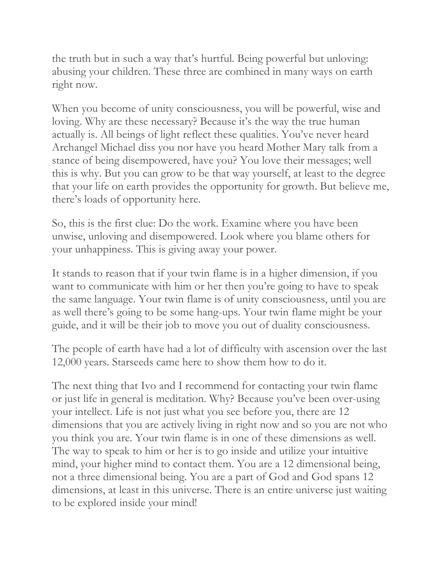the truth but in such a way that's hurtful. Being powerful but unloving: abusing your children. These three are combined in many ways on earth right now.

When you become of unity consciousness, you will be powerful, wise and loving. Why are these necessary? Because it's the way the true human actually is. All beings of light reflect these qualities. You've never heard Archangel Michael diss you nor have you heard Mother Mary talk from a stance of being disempowered, have you? You love their messages; well this is why. But you can grow to be that way yourself, at least to the degree that your life on earth provides the opportunity for growth. But believe me, there's loads of opportunity here.

So, this is the first clue: Do the work. Examine where you have been unwise, unloving and disempowered. Look where you blame others for your unhappiness. This is giving away your power.

It stands to reason that if your twin flame is in a higher dimension, if you want to communicate with him or her then you're going to have to speak the same language. Your twin flame is of unity consciousness, until you are as well there's going to be some hang-ups. Your twin flame might be your guide, and it will be their job to move you out of duality consciousness.

The people of earth have had a lot of difficulty with ascension over the last 12,000 years. Starseeds came here to show them how to do it.

The next thing that Ivo and I recommend for contacting your twin flame or just life in general is meditation. Why? Because you've been over-using your intellect. Life is not just what you see before you, there are 12 dimensions that you are actively living in right now and so you are not who you think you are. Your twin flame is in one of these dimensions as well. The way to speak to him or her is to go inside and utilize your intuitive mind, your higher mind to contact them. You are a 12 dimensional being, not a three dimensional being. You are a part of God and God spans 12 dimensions, at least in this universe. There is an entire universe just waiting to be explored inside your mind!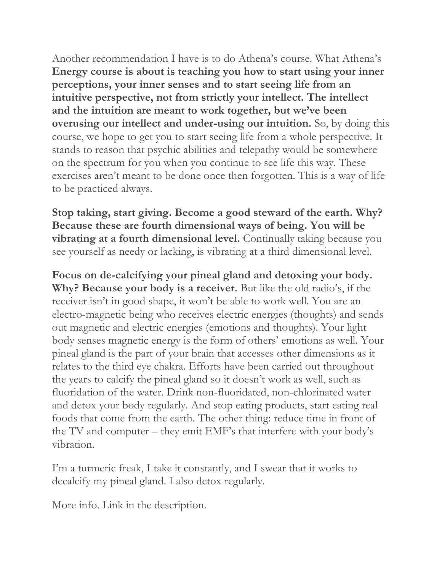Another recommendation I have is to do Athena's course. What Athena's **Energy course is about is teaching you how to start using your inner perceptions, your inner senses and to start seeing life from an intuitive perspective, not from strictly your intellect. The intellect and the intuition are meant to work together, but we've been overusing our intellect and under-using our intuition.** So, by doing this course, we hope to get you to start seeing life from a whole perspective. It stands to reason that psychic abilities and telepathy would be somewhere on the spectrum for you when you continue to see life this way. These exercises aren't meant to be done once then forgotten. This is a way of life to be practiced always.

**Stop taking, start giving. Become a good steward of the earth. Why? Because these are fourth dimensional ways of being. You will be vibrating at a fourth dimensional level.** Continually taking because you see yourself as needy or lacking, is vibrating at a third dimensional level.

**Focus on de-calcifying your pineal gland and detoxing your body. Why? Because your body is a receiver.** But like the old radio's, if the receiver isn't in good shape, it won't be able to work well. You are an electro-magnetic being who receives electric energies (thoughts) and sends out magnetic and electric energies (emotions and thoughts). Your light body senses magnetic energy is the form of others' emotions as well. Your pineal gland is the part of your brain that accesses other dimensions as it relates to the third eye chakra. Efforts have been carried out throughout the years to calcify the pineal gland so it doesn't work as well, such as fluoridation of the water. Drink non-fluoridated, non-chlorinated water and detox your body regularly. And stop eating products, start eating real foods that come from the earth. The other thing: reduce time in front of the TV and computer – they emit EMF's that interfere with your body's vibration.

I'm a turmeric freak, I take it constantly, and I swear that it works to decalcify my pineal gland. I also detox regularly.

More info. Link in the description.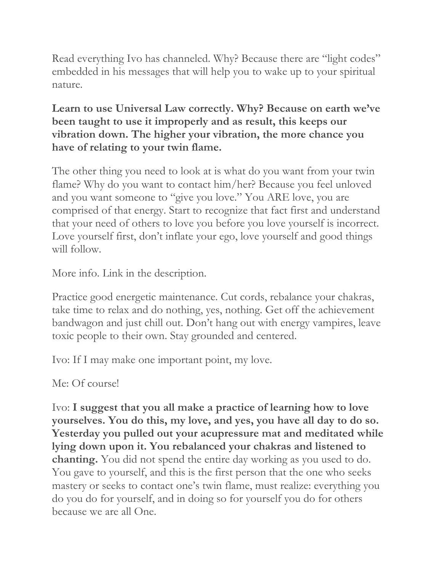Read everything Ivo has channeled. Why? Because there are "light codes" embedded in his messages that will help you to wake up to your spiritual nature.

#### **Learn to use Universal Law correctly. Why? Because on earth we've been taught to use it improperly and as result, this keeps our vibration down. The higher your vibration, the more chance you have of relating to your twin flame.**

The other thing you need to look at is what do you want from your twin flame? Why do you want to contact him/her? Because you feel unloved and you want someone to "give you love." You ARE love, you are comprised of that energy. Start to recognize that fact first and understand that your need of others to love you before you love yourself is incorrect. Love yourself first, don't inflate your ego, love yourself and good things will follow.

More info. Link in the description.

Practice good energetic maintenance. Cut cords, rebalance your chakras, take time to relax and do nothing, yes, nothing. Get off the achievement bandwagon and just chill out. Don't hang out with energy vampires, leave toxic people to their own. Stay grounded and centered.

Ivo: If I may make one important point, my love.

Me: Of course!

Ivo: **I suggest that you all make a practice of learning how to love yourselves. You do this, my love, and yes, you have all day to do so. Yesterday you pulled out your acupressure mat and meditated while lying down upon it. You rebalanced your chakras and listened to chanting.** You did not spend the entire day working as you used to do. You gave to yourself, and this is the first person that the one who seeks mastery or seeks to contact one's twin flame, must realize: everything you do you do for yourself, and in doing so for yourself you do for others because we are all One.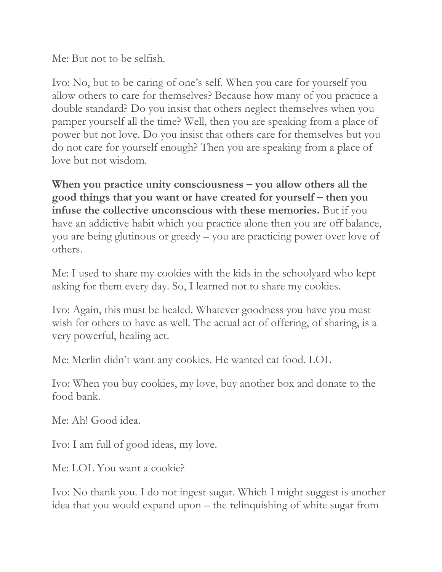Me: But not to be selfish.

Ivo: No, but to be caring of one's self. When you care for yourself you allow others to care for themselves? Because how many of you practice a double standard? Do you insist that others neglect themselves when you pamper yourself all the time? Well, then you are speaking from a place of power but not love. Do you insist that others care for themselves but you do not care for yourself enough? Then you are speaking from a place of love but not wisdom.

**When you practice unity consciousness – you allow others all the good things that you want or have created for yourself – then you infuse the collective unconscious with these memories.** But if you have an addictive habit which you practice alone then you are off balance, you are being glutinous or greedy – you are practicing power over love of others.

Me: I used to share my cookies with the kids in the schoolyard who kept asking for them every day. So, I learned not to share my cookies.

Ivo: Again, this must be healed. Whatever goodness you have you must wish for others to have as well. The actual act of offering, of sharing, is a very powerful, healing act.

Me: Merlin didn't want any cookies. He wanted cat food. LOL

Ivo: When you buy cookies, my love, buy another box and donate to the food bank.

Me: Ah! Good idea.

Ivo: I am full of good ideas, my love.

Me: LOL You want a cookie?

Ivo: No thank you. I do not ingest sugar. Which I might suggest is another idea that you would expand upon – the relinquishing of white sugar from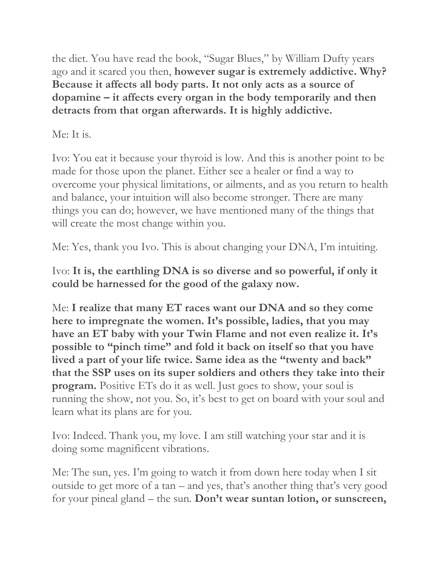the diet. You have read the book, "Sugar Blues," by William Dufty years ago and it scared you then, **however sugar is extremely addictive. Why? Because it affects all body parts. It not only acts as a source of dopamine – it affects every organ in the body temporarily and then detracts from that organ afterwards. It is highly addictive.**

### Me: It is.

Ivo: You eat it because your thyroid is low. And this is another point to be made for those upon the planet. Either see a healer or find a way to overcome your physical limitations, or ailments, and as you return to health and balance, your intuition will also become stronger. There are many things you can do; however, we have mentioned many of the things that will create the most change within you.

Me: Yes, thank you Ivo. This is about changing your DNA, I'm intuiting.

Ivo: **It is, the earthling DNA is so diverse and so powerful, if only it could be harnessed for the good of the galaxy now.**

Me: **I realize that many ET races want our DNA and so they come here to impregnate the women. It's possible, ladies, that you may have an ET baby with your Twin Flame and not even realize it. It's possible to "pinch time" and fold it back on itself so that you have lived a part of your life twice. Same idea as the "twenty and back" that the SSP uses on its super soldiers and others they take into their program.** Positive ETs do it as well. Just goes to show, your soul is running the show, not you. So, it's best to get on board with your soul and learn what its plans are for you.

Ivo: Indeed. Thank you, my love. I am still watching your star and it is doing some magnificent vibrations.

Me: The sun, yes. I'm going to watch it from down here today when I sit outside to get more of a tan – and yes, that's another thing that's very good for your pineal gland – the sun. **Don't wear suntan lotion, or sunscreen,**